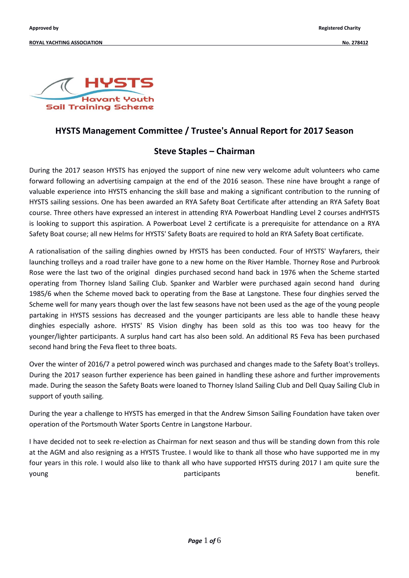

### **HYSTS Management Committee / Trustee's Annual Report for 2017 Season**

### **Steve Staples – Chairman**

During the 2017 season HYSTS has enjoyed the support of nine new very welcome adult volunteers who came forward following an advertising campaign at the end of the 2016 season. These nine have brought a range of valuable experience into HYSTS enhancing the skill base and making a significant contribution to the running of HYSTS sailing sessions. One has been awarded an RYA Safety Boat Certificate after attending an RYA Safety Boat course. Three others have expressed an interest in attending RYA Powerboat Handling Level 2 courses andHYSTS is looking to support this aspiration. A Powerboat Level 2 certificate is a prerequisite for attendance on a RYA Safety Boat course; all new Helms for HYSTS' Safety Boats are required to hold an RYA Safety Boat certificate.

A rationalisation of the sailing dinghies owned by HYSTS has been conducted. Four of HYSTS' Wayfarers, their launching trolleys and a road trailer have gone to a new home on the River Hamble. Thorney Rose and Purbrook Rose were the last two of the original dingies purchased second hand back in 1976 when the Scheme started operating from Thorney Island Sailing Club. Spanker and Warbler were purchased again second hand during 1985/6 when the Scheme moved back to operating from the Base at Langstone. These four dinghies served the Scheme well for many years though over the last few seasons have not been used as the age of the young people partaking in HYSTS sessions has decreased and the younger participants are less able to handle these heavy dinghies especially ashore. HYSTS' RS Vision dinghy has been sold as this too was too heavy for the younger/lighter participants. A surplus hand cart has also been sold. An additional RS Feva has been purchased second hand bring the Feva fleet to three boats.

Over the winter of 2016/7 a petrol powered winch was purchased and changes made to the Safety Boat's trolleys. During the 2017 season further experience has been gained in handling these ashore and further improvements made. During the season the Safety Boats were loaned to Thorney Island Sailing Club and Dell Quay Sailing Club in support of youth sailing.

During the year a challenge to HYSTS has emerged in that the Andrew Simson Sailing Foundation have taken over operation of the Portsmouth Water Sports Centre in Langstone Harbour.

I have decided not to seek re-election as Chairman for next season and thus will be standing down from this role at the AGM and also resigning as a HYSTS Trustee. I would like to thank all those who have supported me in my four years in this role. I would also like to thank all who have supported HYSTS during 2017 I am quite sure the young benefit. The participants benefit.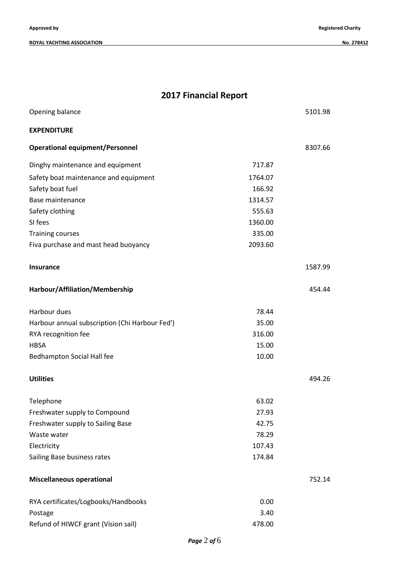**Approved by Registered Charity**

| <b>2017 Financial Report</b>                   |         |         |  |  |
|------------------------------------------------|---------|---------|--|--|
| Opening balance                                |         | 5101.98 |  |  |
| <b>EXPENDITURE</b>                             |         |         |  |  |
| <b>Operational equipment/Personnel</b>         |         | 8307.66 |  |  |
| Dinghy maintenance and equipment               | 717.87  |         |  |  |
| Safety boat maintenance and equipment          | 1764.07 |         |  |  |
| Safety boat fuel                               | 166.92  |         |  |  |
| Base maintenance                               | 1314.57 |         |  |  |
| Safety clothing                                | 555.63  |         |  |  |
| SI fees                                        | 1360.00 |         |  |  |
| Training courses                               | 335.00  |         |  |  |
| Fiva purchase and mast head buoyancy           | 2093.60 |         |  |  |
| Insurance                                      |         | 1587.99 |  |  |
| Harbour/Affiliation/Membership                 |         | 454.44  |  |  |
| Harbour dues                                   | 78.44   |         |  |  |
| Harbour annual subscription (Chi Harbour Fed') | 35.00   |         |  |  |
| RYA recognition fee                            | 316.00  |         |  |  |
| HBSA                                           | 15.00   |         |  |  |
| <b>Bedhampton Social Hall fee</b>              | 10.00   |         |  |  |
| <b>Utilities</b>                               |         | 494.26  |  |  |
| Telephone                                      | 63.02   |         |  |  |
| Freshwater supply to Compound                  | 27.93   |         |  |  |
| Freshwater supply to Sailing Base              | 42.75   |         |  |  |
| Waste water                                    | 78.29   |         |  |  |
| Electricity                                    | 107.43  |         |  |  |
| Sailing Base business rates                    | 174.84  |         |  |  |
| <b>Miscellaneous operational</b>               |         | 752.14  |  |  |
| RYA certificates/Logbooks/Handbooks            | 0.00    |         |  |  |
| Postage                                        | 3.40    |         |  |  |
| Refund of HIWCF grant (Vision sail)            | 478.00  |         |  |  |

## *Page* 2 *of* 6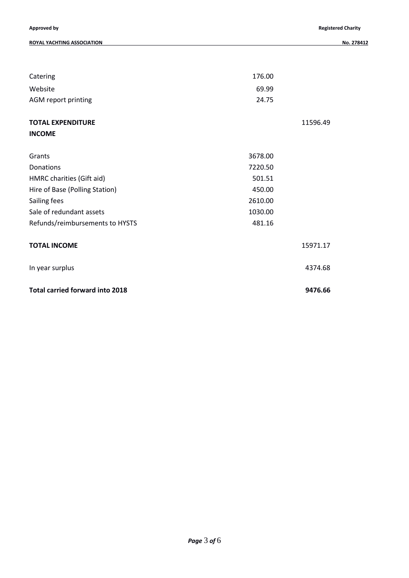#### **ROYAL YACHTING ASSOCIATION No. 278412**

| Catering                               | 176.00  |          |
|----------------------------------------|---------|----------|
| Website                                | 69.99   |          |
| AGM report printing                    | 24.75   |          |
| <b>TOTAL EXPENDITURE</b>               |         | 11596.49 |
| <b>INCOME</b>                          |         |          |
| Grants                                 | 3678.00 |          |
| Donations                              | 7220.50 |          |
| HMRC charities (Gift aid)              | 501.51  |          |
| Hire of Base (Polling Station)         | 450.00  |          |
| Sailing fees                           | 2610.00 |          |
| Sale of redundant assets               | 1030.00 |          |
| Refunds/reimbursements to HYSTS        | 481.16  |          |
| <b>TOTAL INCOME</b>                    |         | 15971.17 |
| In year surplus                        |         | 4374.68  |
| <b>Total carried forward into 2018</b> |         | 9476.66  |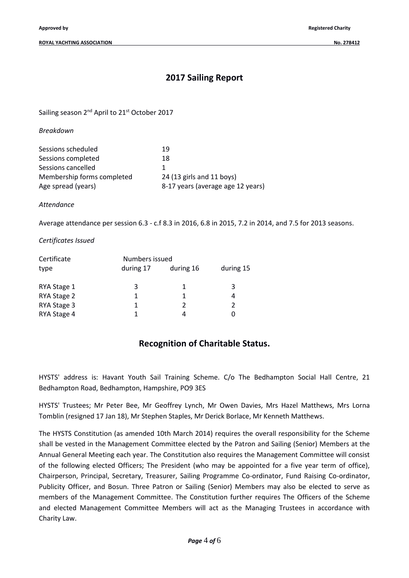# **2017 Sailing Report**

Sailing season 2<sup>nd</sup> April to 21<sup>st</sup> October 2017

*Breakdown*

| Sessions scheduled         | 19                                |
|----------------------------|-----------------------------------|
| Sessions completed         | 18                                |
| Sessions cancelled         |                                   |
| Membership forms completed | 24 (13 girls and 11 boys)         |
| Age spread (years)         | 8-17 years (average age 12 years) |

*Attendance*

Average attendance per session 6.3 - c.f 8.3 in 2016, 6.8 in 2015, 7.2 in 2014, and 7.5 for 2013 seasons.

*Certificates Issued*

| Certificate |           | Numbers issued |           |  |  |
|-------------|-----------|----------------|-----------|--|--|
| type        | during 17 | during 16      | during 15 |  |  |
|             |           |                |           |  |  |
| RYA Stage 1 | 3         |                | 3         |  |  |
| RYA Stage 2 | 1         |                | 4         |  |  |
| RYA Stage 3 | 1         |                | 2         |  |  |
| RYA Stage 4 |           |                |           |  |  |

# **Recognition of Charitable Status.**

HYSTS' address is: Havant Youth Sail Training Scheme. C/o The Bedhampton Social Hall Centre, 21 Bedhampton Road, Bedhampton, Hampshire, PO9 3ES

HYSTS' Trustees; Mr Peter Bee, Mr Geoffrey Lynch, Mr Owen Davies, Mrs Hazel Matthews, Mrs Lorna Tomblin (resigned 17 Jan 18), Mr Stephen Staples, Mr Derick Borlace, Mr Kenneth Matthews.

The HYSTS Constitution (as amended 10th March 2014) requires the overall responsibility for the Scheme shall be vested in the Management Committee elected by the Patron and Sailing (Senior) Members at the Annual General Meeting each year. The Constitution also requires the Management Committee will consist of the following elected Officers; The President (who may be appointed for a five year term of office), Chairperson, Principal, Secretary, Treasurer, Sailing Programme Co-ordinator, Fund Raising Co-ordinator, Publicity Officer, and Bosun. Three Patron or Sailing (Senior) Members may also be elected to serve as members of the Management Committee. The Constitution further requires The Officers of the Scheme and elected Management Committee Members will act as the Managing Trustees in accordance with Charity Law.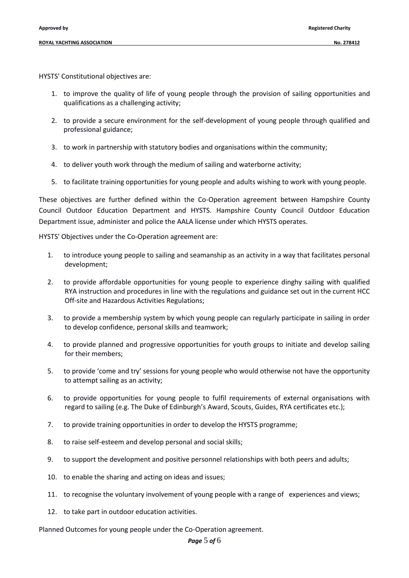HYSTS' Constitutional objectives are:

- 1. to improve the quality of life of young people through the provision of sailing opportunities and qualifications as a challenging activity;
- 2. to provide a secure environment for the self-development of young people through qualified and professional guidance;
- 3. to work in partnership with statutory bodies and organisations within the community;
- 4. to deliver youth work through the medium of sailing and waterborne activity;
- 5. to facilitate training opportunities for young people and adults wishing to work with young people.

These objectives are further defined within the Co-Operation agreement between Hampshire County Council Outdoor Education Department and HYSTS. Hampshire County Council Outdoor Education Department issue, administer and police the AALA license under which HYSTS operates.

HYSTS' Objectives under the Co-Operation agreement are:

- 1. to introduce young people to sailing and seamanship as an activity in a way that facilitates personal development;
- 2. to provide affordable opportunities for young people to experience dinghy sailing with qualified RYA instruction and procedures in line with the regulations and guidance set out in the current HCC Off-site and Hazardous Activities Regulations;
- 3. to provide a membership system by which young people can regularly participate in sailing in order to develop confidence, personal skills and teamwork;
- 4. to provide planned and progressive opportunities for youth groups to initiate and develop sailing for their members;
- 5. to provide 'come and try' sessions for young people who would otherwise not have the opportunity to attempt sailing as an activity;
- 6. to provide opportunities for young people to fulfil requirements of external organisations with regard to sailing (e.g. The Duke of Edinburgh's Award, Scouts, Guides, RYA certificates etc.);
- 7. to provide training opportunities in order to develop the HYSTS programme;
- 8. to raise self-esteem and develop personal and social skills;
- 9. to support the development and positive personnel relationships with both peers and adults;
- 10. to enable the sharing and acting on ideas and issues;
- 11. to recognise the voluntary involvement of young people with a range of experiences and views;
- 12. to take part in outdoor education activities.

Planned Outcomes for young people under the Co-Operation agreement.